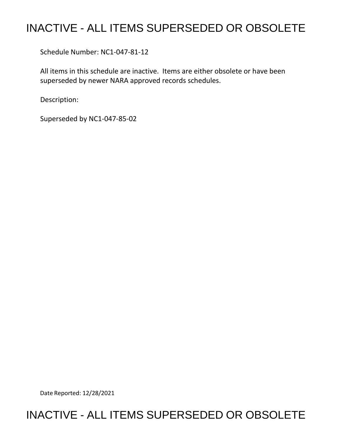## INACTIVE - ALL ITEMS SUPERSEDED OR OBSOLETE

Schedule Number: NC1-047-81-12

 All items in this schedule are inactive. Items are either obsolete or have been superseded by newer NARA approved records schedules.

Description:

Superseded by NC1-047-85-02

Date Reported: 12/28/2021

## INACTIVE - ALL ITEMS SUPERSEDED OR OBSOLETE